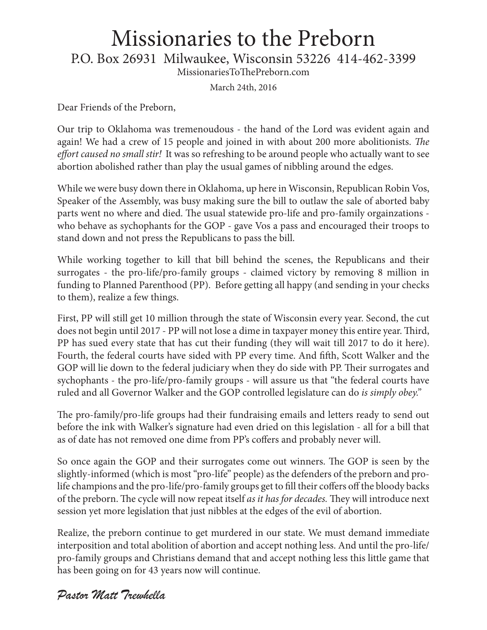## Missionaries to the Preborn

P.O. Box 26931 Milwaukee, Wisconsin 53226 414-462-3399

MissionariesToThePreborn.com

March 24th, 2016

Dear Friends of the Preborn,

Our trip to Oklahoma was tremenoudous - the hand of the Lord was evident again and again! We had a crew of 15 people and joined in with about 200 more abolitionists. *The effort caused no small stir!* It was so refreshing to be around people who actually want to see abortion abolished rather than play the usual games of nibbling around the edges.

While we were busy down there in Oklahoma, up here in Wisconsin, Republican Robin Vos, Speaker of the Assembly, was busy making sure the bill to outlaw the sale of aborted baby parts went no where and died. The usual statewide pro-life and pro-family orgainzations who behave as sychophants for the GOP - gave Vos a pass and encouraged their troops to stand down and not press the Republicans to pass the bill.

While working together to kill that bill behind the scenes, the Republicans and their surrogates - the pro-life/pro-family groups - claimed victory by removing 8 million in funding to Planned Parenthood (PP). Before getting all happy (and sending in your checks to them), realize a few things.

First, PP will still get 10 million through the state of Wisconsin every year. Second, the cut does not begin until 2017 - PP will not lose a dime in taxpayer money this entire year. Third, PP has sued every state that has cut their funding (they will wait till 2017 to do it here). Fourth, the federal courts have sided with PP every time. And fifth, Scott Walker and the GOP will lie down to the federal judiciary when they do side with PP. Their surrogates and sychophants - the pro-life/pro-family groups - will assure us that "the federal courts have ruled and all Governor Walker and the GOP controlled legislature can do *is simply obey."* 

The pro-family/pro-life groups had their fundraising emails and letters ready to send out before the ink with Walker's signature had even dried on this legislation - all for a bill that as of date has not removed one dime from PP's coffers and probably never will.

So once again the GOP and their surrogates come out winners. The GOP is seen by the slightly-informed (which is most "pro-life" people) as the defenders of the preborn and prolife champions and the pro-life/pro-family groups get to fill their coffers off the bloody backs of the preborn. The cycle will now repeat itself *as it has for decades.* They will introduce next session yet more legislation that just nibbles at the edges of the evil of abortion.

Realize, the preborn continue to get murdered in our state. We must demand immediate interposition and total abolition of abortion and accept nothing less. And until the pro-life/ pro-family groups and Christians demand that and accept nothing less this little game that has been going on for 43 years now will continue.

#### *Pastor Matt Trewhella*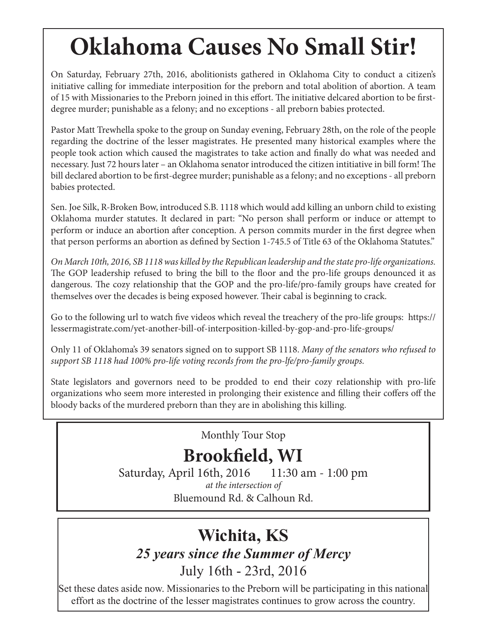# **Oklahoma Causes No Small Stir!**

On Saturday, February 27th, 2016, abolitionists gathered in Oklahoma City to conduct a citizen's initiative calling for immediate interposition for the preborn and total abolition of abortion. A team of 15 with Missionaries to the Preborn joined in this effort. The initiative delcared abortion to be firstdegree murder; punishable as a felony; and no exceptions - all preborn babies protected.

Pastor Matt Trewhella spoke to the group on Sunday evening, February 28th, on the role of the people regarding the doctrine of the lesser magistrates. He presented many historical examples where the people took action which caused the magistrates to take action and finally do what was needed and necessary. Just 72 hours later – an Oklahoma senator introduced the citizen intitiative in bill form! The bill declared abortion to be first-degree murder; punishable as a felony; and no exceptions - all preborn babies protected.

Sen. Joe Silk, R-Broken Bow, introduced S.B. 1118 which would add killing an unborn child to existing Oklahoma murder statutes. It declared in part: "No person shall perform or induce or attempt to perform or induce an abortion after conception. A person commits murder in the first degree when that person performs an abortion as defined by Section 1-745.5 of Title 63 of the Oklahoma Statutes."

*On March 10th, 2016, SB 1118 was killed by the Republican leadership and the state pro-life organizations.*  The GOP leadership refused to bring the bill to the floor and the pro-life groups denounced it as dangerous. The cozy relationship that the GOP and the pro-life/pro-family groups have created for themselves over the decades is being exposed however. Their cabal is beginning to crack.

Go to the following url to watch five videos which reveal the treachery of the pro-life groups: https:// lessermagistrate.com/yet-another-bill-of-interposition-killed-by-gop-and-pro-life-groups/

Only 11 of Oklahoma's 39 senators signed on to support SB 1118. *Many of the senators who refused to support SB 1118 had 100% pro-life voting records from the pro-lfe/pro-family groups.*

State legislators and governors need to be prodded to end their cozy relationship with pro-life organizations who seem more interested in prolonging their existence and filling their coffers off the bloody backs of the murdered preborn than they are in abolishing this killing.

Monthly Tour Stop

### **Brookfield, WI**

Saturday, April 16th, 2016 11:30 am - 1:00 pm *at the intersection of*  Bluemound Rd. & Calhoun Rd.

#### **Wichita, KS**  *25 years since the Summer of Mercy*

July 16th - 23rd, 2016

Set these dates aside now. Missionaries to the Preborn will be participating in this national effort as the doctrine of the lesser magistrates continues to grow across the country.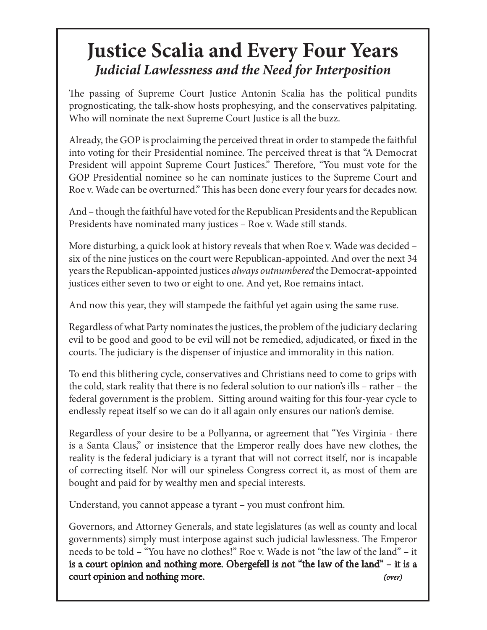#### **Justice Scalia and Every Four Years** *Judicial Lawlessness and the Need for Interposition*

The passing of Supreme Court Justice Antonin Scalia has the political pundits prognosticating, the talk-show hosts prophesying, and the conservatives palpitating. Who will nominate the next Supreme Court Justice is all the buzz.

Already, the GOP is proclaiming the perceived threat in order to stampede the faithful into voting for their Presidential nominee. The perceived threat is that "A Democrat President will appoint Supreme Court Justices." Therefore, "You must vote for the GOP Presidential nominee so he can nominate justices to the Supreme Court and Roe v. Wade can be overturned." This has been done every four years for decades now.

And – though the faithful have voted for the Republican Presidents and the Republican Presidents have nominated many justices – Roe v. Wade still stands.

More disturbing, a quick look at history reveals that when Roe v. Wade was decided – six of the nine justices on the court were Republican-appointed. And over the next 34 years the Republican-appointed justices *always outnumbered* the Democrat-appointed justices either seven to two or eight to one. And yet, Roe remains intact.

And now this year, they will stampede the faithful yet again using the same ruse.

Regardless of what Party nominates the justices, the problem of the judiciary declaring evil to be good and good to be evil will not be remedied, adjudicated, or fixed in the courts. The judiciary is the dispenser of injustice and immorality in this nation.

To end this blithering cycle, conservatives and Christians need to come to grips with the cold, stark reality that there is no federal solution to our nation's ills – rather – the federal government is the problem. Sitting around waiting for this four-year cycle to endlessly repeat itself so we can do it all again only ensures our nation's demise.

Regardless of your desire to be a Pollyanna, or agreement that "Yes Virginia - there is a Santa Claus," or insistence that the Emperor really does have new clothes, the reality is the federal judiciary is a tyrant that will not correct itself, nor is incapable of correcting itself. Nor will our spineless Congress correct it, as most of them are bought and paid for by wealthy men and special interests.

Understand, you cannot appease a tyrant – you must confront him.

Governors, and Attorney Generals, and state legislatures (as well as county and local governments) simply must interpose against such judicial lawlessness. The Emperor needs to be told – "You have no clothes!" Roe v. Wade is not "the law of the land" – it is a court opinion and nothing more. Obergefell is not "the law of the land" – it is a court opinion and nothing more. *(over)*